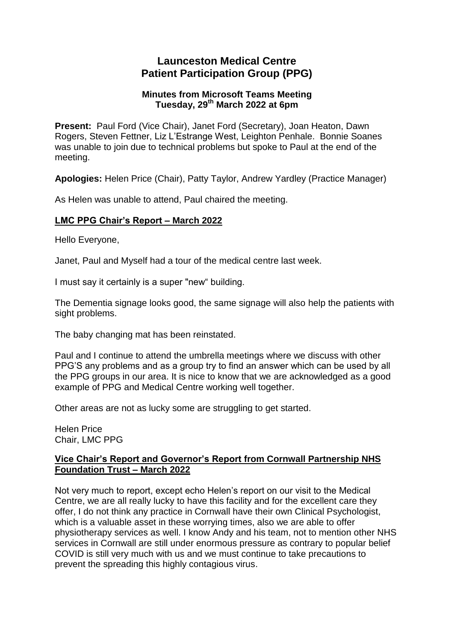## **Launceston Medical Centre Patient Participation Group (PPG)**

### **Minutes from Microsoft Teams Meeting Tuesday, 29th March 2022 at 6pm**

**Present:** Paul Ford (Vice Chair), Janet Ford (Secretary), Joan Heaton, Dawn Rogers, Steven Fettner, Liz L'Estrange West, Leighton Penhale. Bonnie Soanes was unable to join due to technical problems but spoke to Paul at the end of the meeting.

**Apologies:** Helen Price (Chair), Patty Taylor, Andrew Yardley (Practice Manager)

As Helen was unable to attend, Paul chaired the meeting.

### **LMC PPG Chair's Report – March 2022**

Hello Everyone,

Janet, Paul and Myself had a tour of the medical centre last week.

I must say it certainly is a super "new" building.

The Dementia signage looks good, the same signage will also help the patients with sight problems.

The baby changing mat has been reinstated.

Paul and I continue to attend the umbrella meetings where we discuss with other PPG'S any problems and as a group try to find an answer which can be used by all the PPG groups in our area. It is nice to know that we are acknowledged as a good example of PPG and Medical Centre working well together.

Other areas are not as lucky some are struggling to get started.

Helen Price Chair, LMC PPG

### **Vice Chair's Report and Governor's Report from Cornwall Partnership NHS Foundation Trust – March 2022**

Not very much to report, except echo Helen's report on our visit to the Medical Centre, we are all really lucky to have this facility and for the excellent care they offer, I do not think any practice in Cornwall have their own Clinical Psychologist, which is a valuable asset in these worrying times, also we are able to offer physiotherapy services as well. I know Andy and his team, not to mention other NHS services in Cornwall are still under enormous pressure as contrary to popular belief COVID is still very much with us and we must continue to take precautions to prevent the spreading this highly contagious virus.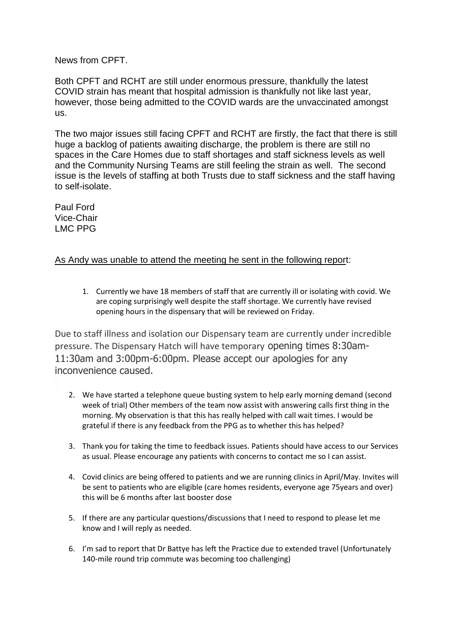News from CPFT.

Both CPFT and RCHT are still under enormous pressure, thankfully the latest COVID strain has meant that hospital admission is thankfully not like last year, however, those being admitted to the COVID wards are the unvaccinated amongst us.

The two major issues still facing CPFT and RCHT are firstly, the fact that there is still huge a backlog of patients awaiting discharge, the problem is there are still no spaces in the Care Homes due to staff shortages and staff sickness levels as well and the Community Nursing Teams are still feeling the strain as well. The second issue is the levels of staffing at both Trusts due to staff sickness and the staff having to self-isolate.

Paul Ford Vice-Chair LMC PPG

## As Andy was unable to attend the meeting he sent in the following report:

1. Currently we have 18 members of staff that are currently ill or isolating with covid. We are coping surprisingly well despite the staff shortage. We currently have revised opening hours in the dispensary that will be reviewed on Friday.

Due to staff illness and isolation our Dispensary team are currently under incredible pressure. The Dispensary Hatch will have temporary opening times 8:30am-11:30am and 3:00pm-6:00pm. Please accept our apologies for any inconvenience caused.

- 2. We have started a telephone queue busting system to help early morning demand (second week of trial) Other members of the team now assist with answering calls first thing in the morning. My observation is that this has really helped with call wait times. I would be grateful if there is any feedback from the PPG as to whether this has helped?
- 3. Thank you for taking the time to feedback issues. Patients should have access to our Services as usual. Please encourage any patients with concerns to contact me so I can assist.
- 4. Covid clinics are being offered to patients and we are running clinics in April/May. Invites will be sent to patients who are eligible (care homes residents, everyone age 75years and over) this will be 6 months after last booster dose
- 5. If there are any particular questions/discussions that I need to respond to please let me know and I will reply as needed.
- 6. I'm sad to report that Dr Battye has left the Practice due to extended travel (Unfortunately 140-mile round trip commute was becoming too challenging)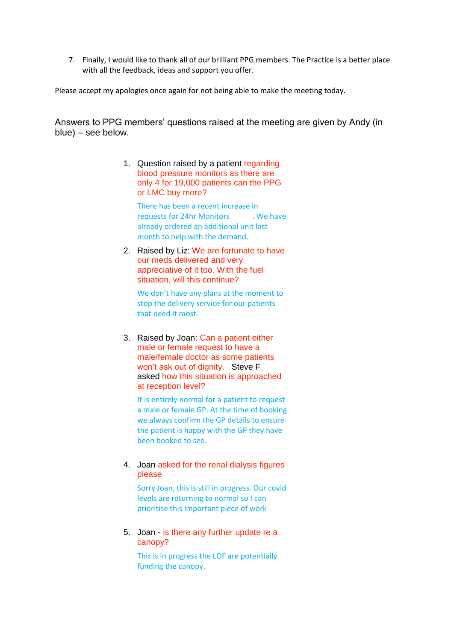7. Finally, I would like to thank all of our brilliant PPG members. The Practice is a better place with all the feedback, ideas and support you offer.

Please accept my apologies once again for not being able to make the meeting today.

Answers to PPG members' questions raised at the meeting are given by Andy (in blue) – see below.

> 1. Question raised by a patient regarding blood pressure monitors as there are only 4 for 19,000 patients can the PPG or LMC buy more?

There has been a recent increase in requests for 24hr Monitors . We have already ordered an additional unit last month to help with the demand.

2. Raised by Liz: We are fortunate to have our meds delivered and very appreciative of it too. With the fuel situation, will this continue?

We don't have any plans at the moment to stop the delivery service for our patients that need it most.

3. Raised by Joan: Can a patient either male or female request to have a male/female doctor as some patients won't ask out of dignity. Steve F asked how this situation is approached at reception level?

It is entirely normal for a patient to request a male or female GP. At the time of booking we always confirm the GP details to ensure the patient is happy with the GP they have been booked to see.

4. Joan asked for the renal dialysis figures please

Sorry Joan, this is still in progress. Our covid levels are returning to normal so I can prioritise this important piece of work

5. Joan - is there any further update re a canopy?

This is in progress the LOF are potentially funding the canopy.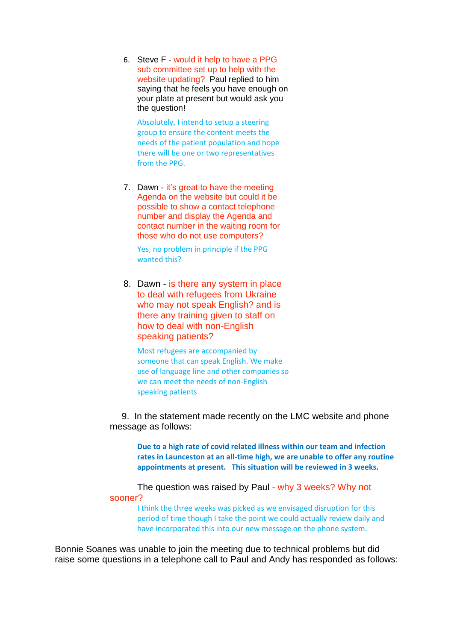6. Steve F - would it help to have a PPG sub committee set up to help with the website updating? Paul replied to him saying that he feels you have enough on your plate at present but would ask you the question!

Absolutely, I intend to setup a steering group to ensure the content meets the needs of the patient population and hope there will be one or two representatives from the PPG.

7. Dawn - it's great to have the meeting Agenda on the website but could it be possible to show a contact telephone number and display the Agenda and contact number in the waiting room for those who do not use computers?

Yes, no problem in principle if the PPG wanted this?

8. Dawn - is there any system in place to deal with refugees from Ukraine who may not speak English? and is there any training given to staff on how to deal with non-English speaking patients?

Most refugees are accompanied by someone that can speak English. We make use of language line and other companies so we can meet the needs of non-English speaking patients

 9. In the statement made recently on the LMC website and phone message as follows:

**Due to a high rate of covid related illness within our team and infection rates in Launceston at an all-time high, we are unable to offer any routine appointments at present. This situation will be reviewed in 3 weeks.**

The question was raised by Paul - why 3 weeks? Why not sooner?

I think the three weeks was picked as we envisaged disruption for this period of time though I take the point we could actually review daily and have incorporated this into our new message on the phone system.

Bonnie Soanes was unable to join the meeting due to technical problems but did raise some questions in a telephone call to Paul and Andy has responded as follows: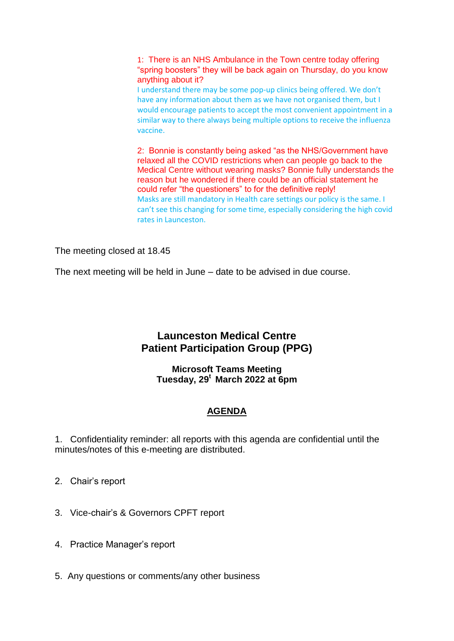1: There is an NHS Ambulance in the Town centre today offering "spring boosters" they will be back again on Thursday, do you know anything about it?

I understand there may be some pop-up clinics being offered. We don't have any information about them as we have not organised them, but I would encourage patients to accept the most convenient appointment in a similar way to there always being multiple options to receive the influenza vaccine.

2: Bonnie is constantly being asked "as the NHS/Government have relaxed all the COVID restrictions when can people go back to the Medical Centre without wearing masks? Bonnie fully understands the reason but he wondered if there could be an official statement he could refer "the questioners" to for the definitive reply! Masks are still mandatory in Health care settings our policy is the same. I can't see this changing for some time, especially considering the high covid rates in Launceston.

The meeting closed at 18.45

The next meeting will be held in June – date to be advised in due course.

# **Launceston Medical Centre Patient Participation Group (PPG)**

**Microsoft Teams Meeting Tuesday, 29<sup>t</sup> March 2022 at 6pm**

## **AGENDA**

1. Confidentiality reminder: all reports with this agenda are confidential until the minutes/notes of this e-meeting are distributed.

- 2. Chair's report
- 3. Vice-chair's & Governors CPFT report
- 4. Practice Manager's report
- 5. Any questions or comments/any other business